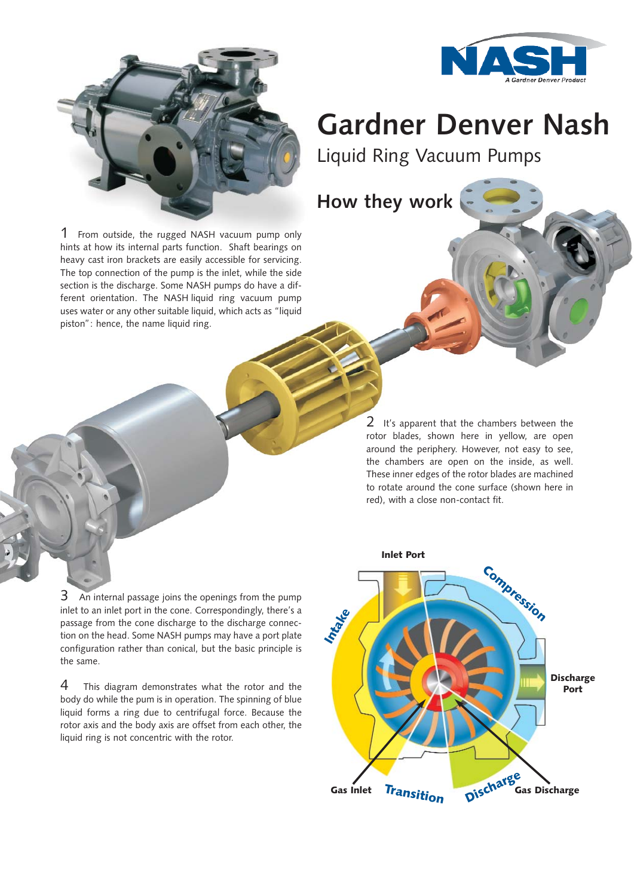



## **Gardner Denver Nash**

Liquid Ring Vacuum Pumps

**How they work**

1 From outside, the rugged NASH vacuum pump only hints at how its internal parts function. Shaft bearings on heavy cast iron brackets are easily accessible for servicing. The top connection of the pump is the inlet, while the side section is the discharge. Some NASH pumps do have a different orientation. The NASH liquid ring vacuum pump uses water or any other suitable liquid, which acts as "liquid piston": hence, the name liquid ring.

> 2 It's apparent that the chambers between the rotor blades, shown here in yellow, are open around the periphery. However, not easy to see, the chambers are open on the inside, as well. These inner edges of the rotor blades are machined to rotate around the cone surface (shown here in red), with a close non-contact fit.

3 An internal passage joins the openings from the pump inlet to an inlet port in the cone. Correspondingly, there's a passage from the cone discharge to the discharge connection on the head. Some NASH pumps may have a port plate configuration rather than conical, but the basic principle is the same.

4 This diagram demonstrates what the rotor and the body do while the pum is in operation. The spinning of blue liquid forms a ring due to centrifugal force. Because the rotor axis and the body axis are offset from each other, the liquid ring is not concentric with the rotor.